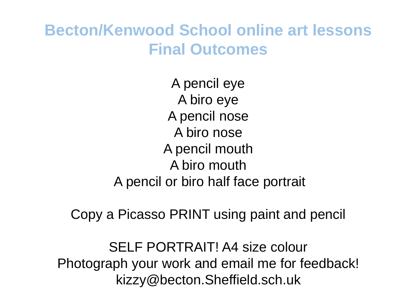### **Becton/Kenwood School online art lessons Final Outcomes**

A pencil eye A biro eye A pencil nose A biro nose A pencil mouth A biro mouth A pencil or biro half face portrait

Copy a Picasso PRINT using paint and pencil

SELF PORTRAIT! A4 size colour Photograph your work and email me for feedback! kizzy@becton.Sheffield.sch.uk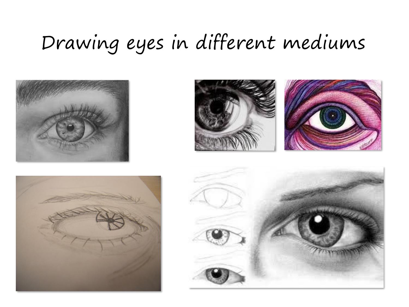### Drawing eyes in different mediums







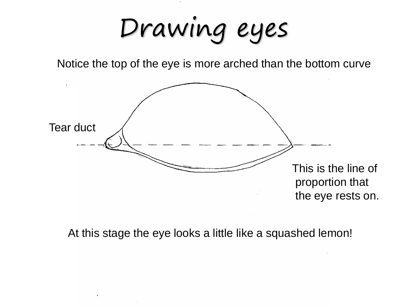Drawing eyes

Notice the top of the eye is more arched than the bottom curve



At this stage the eye looks a little like a squashed lemon!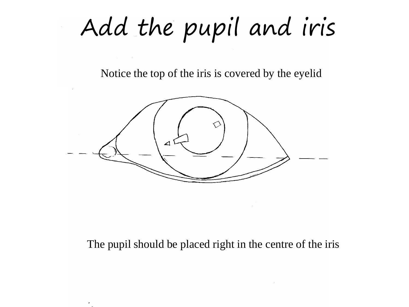Add the pupil and iris

Notice the top of the iris is covered by the eyelid



The pupil should be placed right in the centre of the iris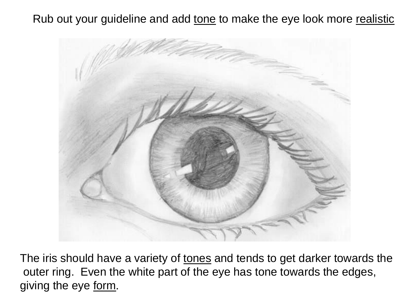Rub out your guideline and add tone to make the eye look more realistic



The iris should have a variety of tones and tends to get darker towards the outer ring. Even the white part of the eye has tone towards the edges, giving the eye form.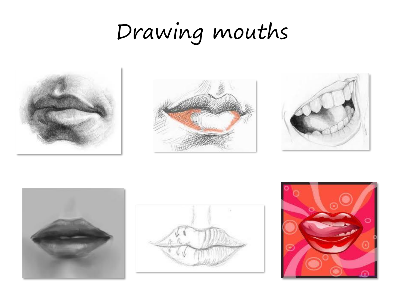### Drawing mouths











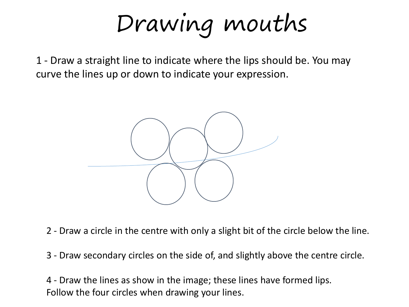Drawing mouths

1 - Draw a straight line to indicate where the lips should be. You may curve the lines up or down to indicate your expression.



2 - Draw a circle in the centre with only a slight bit of the circle below the line.

3 - Draw secondary circles on the side of, and slightly above the centre circle.

4 - Draw the lines as show in the image; these lines have formed lips. Follow the four circles when drawing your lines.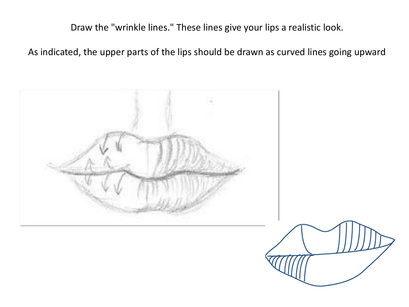Draw the "wrinkle lines." These lines give your lips a realistic look.

As indicated, the upper parts of the lips should be drawn as curved lines going upward

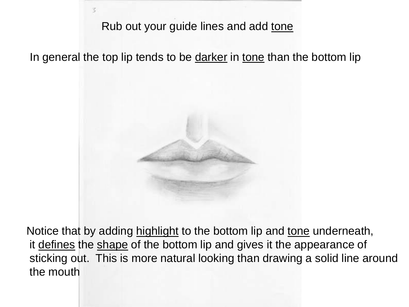#### Rub out your guide lines and add tone

In general the top lip tends to be darker in tone than the bottom lip



Notice that by adding highlight to the bottom lip and tone underneath, it defines the shape of the bottom lip and gives it the appearance of sticking out. This is more natural looking than drawing a solid line around the mouth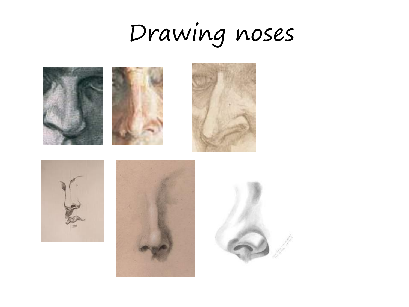# Drawing noses

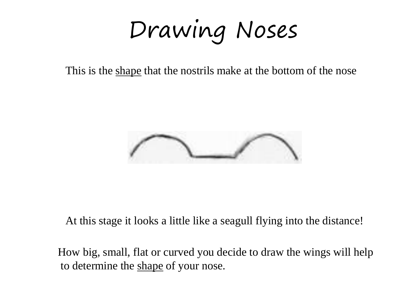Drawing Noses

This is the shape that the nostrils make at the bottom of the nose



At this stage it looks a little like a seagull flying into the distance!

How big, small, flat or curved you decide to draw the wings will help to determine the shape of your nose.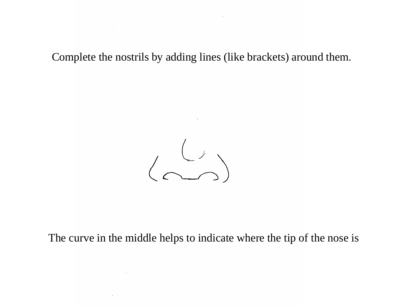Complete the nostrils by adding lines (like brackets) around them.

 $\sim 10^{-1}$ 

the contract of the contract of the

**Contract Contract** 



The curve in the middle helps to indicate where the tip of the nose is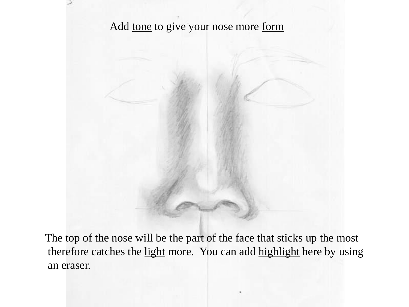

The top of the nose will be the part of the face that sticks up the most therefore catches the light more. You can add highlight here by using an eraser.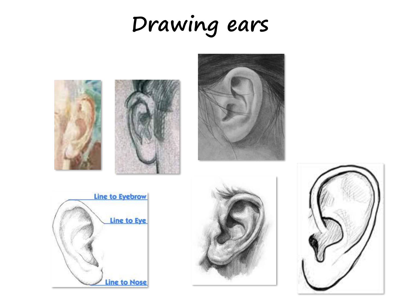## **Drawing ears**











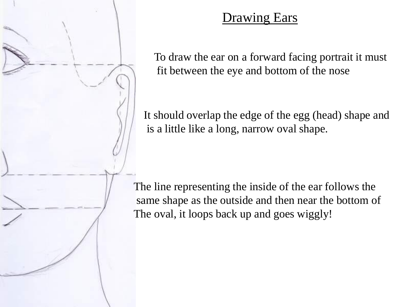

#### **Drawing Ears**

To draw the ear on a forward facing portrait it must fit between the eye and bottom of the nose

It should overlap the edge of the egg (head) shape and is a little like a long, narrow oval shape.

The line representing the inside of the ear follows the same shape as the outside and then near the bottom of The oval, it loops back up and goes wiggly!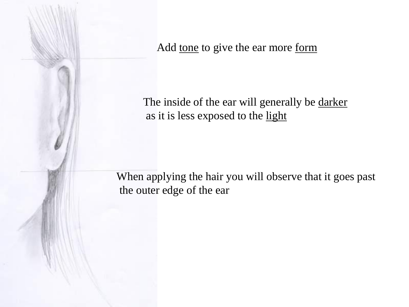Add tone to give the ear more form

The inside of the ear will generally be darker as it is less exposed to the light

When applying the hair you will observe that it goes past the outer edge of the ear